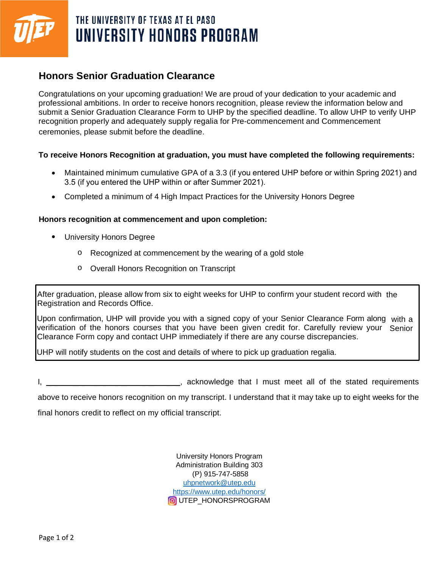

# THE UNIVERSITY OF TEXAS AT EL PASO UNIVERSITY HONORS PROGRAM

## **Honors Senior Graduation Clearance**

Congratulations on your upcoming graduation! We are proud of your dedication to your academic and professional ambitions. In order to receive honors recognition, please review the information below and submit a Senior Graduation Clearance Form to UHP by the specified deadline. To allow UHP to verify UHP recognition properly and adequately supply regalia for Pre-commencement and Commencement ceremonies, please submit before the deadline.

#### **To receive Honors Recognition at graduation, you must have completed the following requirements:**

- Maintained minimum cumulative GPA of a 3.3 (if you entered UHP before or within Spring 2021) and 3.5 (if you entered the UHP within or after Summer 2021).
- Completed a minimum of 4 High Impact Practices for the University Honors Degree

#### **Honors recognition at commencement and upon completion:**

- University Honors Degree
	- o Recognized at commencement by the wearing of a gold stole
	- o Overall Honors Recognition on Transcript

After graduation, please allow from six to eight weeks for UHP to confirm your student record with the Registration and Records Office.

Upon confirmation, UHP will provide you with a signed copy of your Senior Clearance Form along with a verification of the honors courses that you have been given credit for. Carefully review your Senior Clearance Form copy and contact UHP immediately if there are any course discrepancies.

UHP will notify students on the cost and details of where to pick up graduation regalia.

I, \_\_\_\_\_\_\_\_\_\_\_\_\_\_\_\_\_\_\_\_\_\_\_\_\_\_\_\_\_\_\_\_, acknowledge that I must meet all of the stated requirements

above to receive honors recognition on my transcript. I understand that it may take up to eight weeks for the

final honors credit to reflect on my official transcript.

University Honors Program Administration Building 303 (P) 915-747-5858 [uhpnetwork@utep.edu](mailto:uhpnetwork@utep.edu)  <https://www.utep.edu/honors/> **O**UTEP\_HONORSPROGRAM